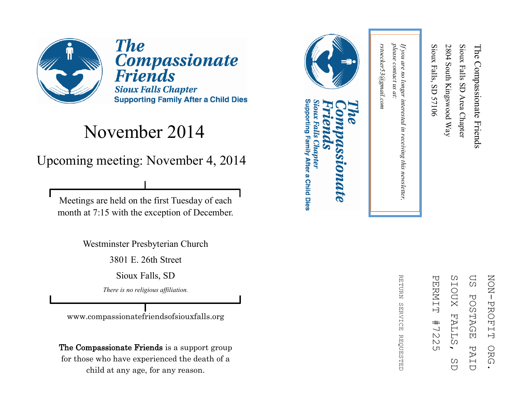

**The Compassionate Friends Sioux Falls Chapter Supporting Family After a Child Dies** 

#### November 2014

Upcoming meeting: November 4, 2014

Meetings are held on the first Tuesday of each month at 7:15 with the exception of December.

Westminster Presbyterian Church

3801 E. 26th Street

Sioux Falls, SD

*There is no religious affiliation.*

www.compassionatefriendsofsiouxfalls.org

The Compassionate Friends is a support group for those who have experienced the death of a child at any age, for any reason.



#### Supporting Family After a Child Dies Sioux Falls Chapter **LOMALE**



RETURN REFURN SERVICE REQUESTED SERVICE **REQUESTED** 

in receiving this newsletter,

rstoecker53@gmail.com *rstoecker53@gmail.com*

please contact us at: *please contact us at: If you are no longer interested in receiving this newsletter,*  If you are no longer interested

Sioux Falls, SD 57106

Sioux Falls, SD 57106

2804 South Kingswood Way

2804 South Kingswood Way

Sioux Falls SD Area Chapter

Sioux Falls SD Area Chapter

The Compassionate Friends

The Compassionate Friends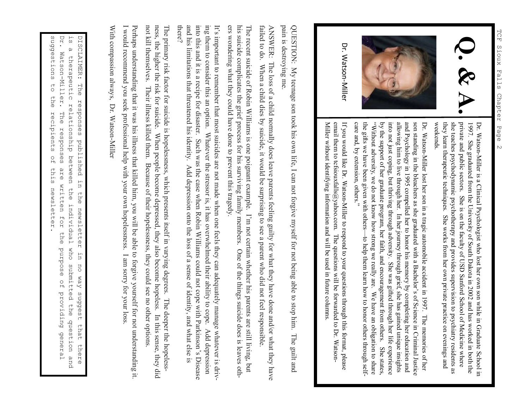

Dr. Watson-Miller

> Dr. WatsonDr. Watson-Miller is a Clinical Psychologist who lost her own son while in Graduate School in Miller is a Clinical Psychologist who lost her own son while in Graduate School in weekends. they learn therapeutic techniques. She works from her own private practice on evenings and she teaches psychodynamic psychotherapy and provides supervision to psychiatry residents as private and public sectors. She is on the faculty of USD Sanford School of Medicine where 1997. She graduated from the University of South Dakota in 2002 and has worked in both the private and public sectors. She is on the faculty of USD Sanford School of Medicine where she traches psychodynamic psychotherapy a

and Psychology in 1995 compelled her to honor his memory by completing her education and allowing him to live through her. In her journey through grief, she has gained unique insights into not just coping, but thriving th son standing in the bleachers as she graduated with a Bachelor's of Science in Criminal Justice by the support of her graduate program, her faith, and encouragement from others. She states, the gifts we have been given with others "Without adversity, we do not know how strong we really are. We have an obligation to share into not just coping, but thriving through adversity. She was gifted through her life experience allowing him to live through her. In her journey through grief, she has gained unique insights son standing in the bleachers as she graduated with a Bachelor's of Science in Criminal Justice Dr. Watson

Miller without identifying information and will be used in future columns email them to tcfsiouxfalls@yahoo.com. The questions will be forwarded to Dr. Watson-If you would like Dr. Watson-Miller to respond to your questions through this format, please entan utein to teistouxians@yanoo.com. The questons with be torwarted to DJ, watson-<br>Miller without identifying information and will be used in future columns. email them to tcfsiouxfalls@yahoo.com. The questions will be forwarded to Dr. WatsonIf you would like Dr. WatsonMiller to respond to your questions through this format, please

pain is destroying me QUESTION: My teenage son took his own life, I can not forgive myself for not being able to stop him. The guilt and pain is destroying me. QUESTION: My teenage son took his own life, I can not forgive myself for not being able to stop him. The guilt and

failed to do. When a child dies by suicide, it would be surprising to see a parent who did not feel responsible. ANSWER: The loss of a child normally does leave parents feeling guilty for what they have done and/or what they have failed to do. When a child dies by suicide, it would be surprising to see a parent who did not feel responsible. ANSWER: The loss of a child normally does leave parents feeling guilty for what they have done and/or what they have

ers wondering what they could have done to prevent this tragedy. his suicide complicates the grief process for his surviving family members. One of the things suicide does is leaves oth-The recent suicide of Robin Williams is one poignant example. I'm not certain whether his parents are still living, but ers wondering what they could have done to prevent this tragedy. his suicide complicates the grief process for his surviving family members. One of the things suicide does is leaves oth- The recent suicide of Robin Williams is one poignant example. I 'm not certain whether his parents are still living, but

into this and it is a recipe for disaster. Such was the case when Robin Williams could not cope with Parkinson's Disease ing them to consider this an option. Whatever the stressor is, it has overwhelmed their ability to cope. Add depression It's important to remember that most suicides are not made when one feels they can adequately manage whatever is drivthere? ing them to consider this an option. Whatever the stressor is, it has overwhelmed their ability to cope. Add depression<br>into this and it is a recipe for disaster. Such was the case when Robin Williams could not cope with P 's important to remember that most suicides are not made when one feels they can adequately manage whatever is driv-

not kill themselves. Their illness killed them. Because of their hopelessness, they could see no other options. ness, the higher the risk for suicide. When people become depressed, they also become hopeless. In this sense, they did The primary risk factor for suicide is hopelessness, which presents itself in varying degrees. The deeper the hopelessand his limitations that threatened his identity. Add depression onto the loss of a sense of identity, and what else is the primary risk factor for suicide is hopelessness, which presents itself in varying degrees. The dee

I would recommend you seek professional help with your own hopelessness. I am sorry for your loss. Perhaps understanding that it was his illness that killed him, you will be able to forgive yourself for not understanding it.

With compassion always, Dr. Watson

suddestions Dr. Watson-Miller. DISCLAIMER: suggestions to the recipients of this newsletter. DISCLAIMER: The responses published in the newsletter in no way suggest that there<br>is a therapeutic relationship between the individual who submitted the question and<br>Dr. Watson-Miller. The responses are written for the pu Dr. Watson is a therapeutic relationship between the individual who submitted the question and ່ທ  $\omega$ therapeutic Phe  $\overline{C}$ ehe responses published in the newsletter relationship between The responses are written for the recipients  $\frac{0}{10}$ this ens<br> newsletter individual who submitted the question purpose of providing general  $\overline{u}$ no way suggest that there and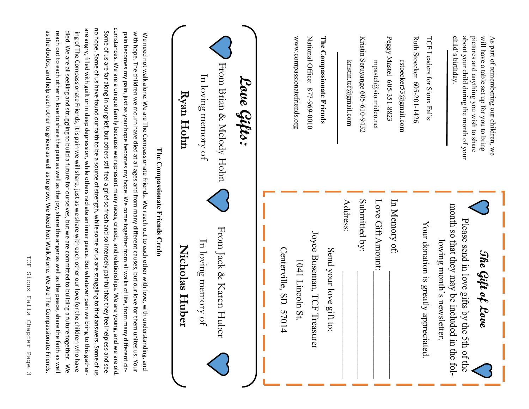| no hope. Some of us have found our faith to be a source of strength, while some of us are struggling to find a                                                                                                                                                                                                                                                                                                                                                                                                                                                                                                                                                                                                                                                                                                                                                                                                                                                                                                                                                                                                                                                                                                                                                                                                                                                                                                                                                                                              | Ryan Hohn      | In loving memory of                                | From Brian & Melody Hohn<br>Lave Gifts: | www.compassionatefriends.org          | National Office: 877-969-0010 | The Compassionate Friends                                                          | kristin.tcf@gmail.com | Kristin Seruyange 605-610-9432 | mpastel@sio.midco.net | Peggy Mastel 605-351-8823<br>rstoecker53@gmail.com | Ruth Stoecker 605-201-1426<br>TCF Leaders for Sioux Falls: | child's birthday                                                             | about your child during the month of your<br>pictures and anything you wish to share | will have a table set up for you to bring<br>As part of remembering our children, we |
|-------------------------------------------------------------------------------------------------------------------------------------------------------------------------------------------------------------------------------------------------------------------------------------------------------------------------------------------------------------------------------------------------------------------------------------------------------------------------------------------------------------------------------------------------------------------------------------------------------------------------------------------------------------------------------------------------------------------------------------------------------------------------------------------------------------------------------------------------------------------------------------------------------------------------------------------------------------------------------------------------------------------------------------------------------------------------------------------------------------------------------------------------------------------------------------------------------------------------------------------------------------------------------------------------------------------------------------------------------------------------------------------------------------------------------------------------------------------------------------------------------------|----------------|----------------------------------------------------|-----------------------------------------|---------------------------------------|-------------------------------|------------------------------------------------------------------------------------|-----------------------|--------------------------------|-----------------------|----------------------------------------------------|------------------------------------------------------------|------------------------------------------------------------------------------|--------------------------------------------------------------------------------------|--------------------------------------------------------------------------------------|
| cumstances. We are a unique family because we represent many races, creeds, and relationships. We are young, and we are old.<br>are angry, filled with guilt or in deep depression, while others radiate an inner peace. But whatever pain we bring to this gather-<br>strep doubts, and he die tried of the Advisor as selence as well as the Note Nebal Strep (Nore . No Pre-H- Permanassionate friends)<br>died. We are all seeking and struggling to build a future for ourselves, but we are committed to building a future together. We<br>Some of us ate far along in the Nepthen Still for a strill form of the spirit of the spirit of the spirit of the spirit of the spirit of the spirit of the spirit of the spirit of the spirit of the spirit of the spirit of t<br>reach out to each other in love to share the pain as well as the joy, share the anger as well as the peace, share the faith as well<br>ing of The Compassionate Friends, it is pain we will share, just as we share with each other our love for the children who have<br>pain becomes my pain, just as your hope becomes my hope. We come together from all walks of life, from many different cir-<br>with hope. The children we mourn have died at all ages and from many different causes, but our love for them unites us. Your<br>We need not walk alone. We are The Compassionate Friends. We reach out to each other with love, with understanding, and<br>The Compassionate Friends Credo<br>nswers. Some of us | Nicholas Huber | From Jack & Karen Hu<br>In loving memory of<br>ber |                                         | Centerville, SD 570<br>$\overline{4}$ | 1041 Lincoln St.              | Joyce Buseman, TCF Treasurer<br>Send your love gift t<br>$\boldsymbol{\mathrm{S}}$ | Address               | Submitted by:                  | Love Gift Amount:     | In Memory of:                                      | Your donation is greatly appreciated                       | month so that they may be included in the fol-<br>lowing month's newsletter. | Please send in love gifts by the 5th of the                                          | The Gift of Love                                                                     |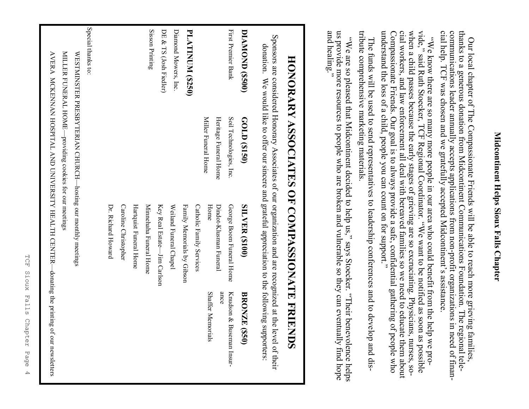### Midcontinent Helps Sioux Falls Chapter **Midcontinent Helps Sioux Falls Chapter**

communications leader annually accepts applications from non-profit organizations in need of financial help. TCF was chosen and we gratefully accepted Midcontinent's assistance cial help. TCF was chosen and we gratefully accepted Midcontinent's assistance. communications leader annually accepts applications from non thanks to a generous donation from Midcontinent Communications Foundation. The regional tele-communications leader annually accepts applications from non-profit organizations in need of finanthanks to a generous donation from Midcontinent Communications Foundation. The regional tele-Our local chapter of The Compassionate Friends will be able to reach more grieving families, Our local chapter of The Compassionate Friends will be able to reach more grieving families,

cial workers, and law enforcement all deal with bereaved families so we need to educate them about when a child passes because the early stages of grieving are so excruciating. Physicians, nurses, so-Compassionate Friends. Our goal is to always provide a safe, confidential gathering of people who<br>understand the loss of a child, people you can count on for support." understand the loss of a child, people you can count on for support. Compassionate Friends. Our goal is to always provide a safe, confidential gathering of people who cial workers, and law enforcement all deal with bereaved families so we need to educate them about when a child passes because the early stages of grieving are so excruciating. Physicians, nurses, so vide," said Ruth Stoecker, TCF Regional Coordinator. "We want to be notified as soon as possible vide," said Ruth Stoecker, TCF Regional Coordinator. "We want to be notified as soon as possible -ord aw diete are so many more people in our area who could benefit from the help we pro-"We know there are so many more people in our area who could benefit from the help we pro-

tribute comprehensive marketing materials. tribute comprehensive marketing materials. The funds will be used to send representatives to leadership conferences and to develop and dis-The funds will be used to send representatives to leadership conferences and to develop and dis-

us provide more resources to people who are broken and vulnerable so they can eventually find hope<br>and healing." and healing. us provide more resources to people who are broken and vulnerable so they can eventually find hope "We are so pleased that Midcontinent decided to help us," says Stoecker. "Their benevolence helps "We are so pleased that Midcontinent decided to help us," says Stoecker. "Their benevolence helps

# HONORARY ASSOCIATES OF COMPASSIONATE FRIENDS **HONORARY ASSOCIATES OF COMPASSIONATE FRIENDS**

Sponsors are considered Honorary Associates of our organization and are recognized at the level of their Sponsors are considered Honorary Associates of our organization and are recognized at the level of their donation. We would like to offer our sincere and grateful appreciation to the following supporters:  $\mathbf{M}$ ild libe to offer ے<br>د و انه شهر<br>م ciation to the follo

|                        |                                                              | $\alpha$ unation. We would like to other our sincere and grateful appreciation to the following supporters. |                             |
|------------------------|--------------------------------------------------------------|-------------------------------------------------------------------------------------------------------------|-----------------------------|
| DIAMOND (\$500)        | GOLD (\$150)                                                 | <b>SILVER (\$100)</b>                                                                                       | <b>BRONZE</b><br>(058)      |
| First Premier Bank     | Soil Technologies, Inc.                                      | George Boom Funeral Home                                                                                    | Knudson &<br>Buseman Insur- |
|                        | Heritage Funeral Home                                        | Dindot-Klusman Funeral                                                                                      | ance                        |
|                        | Miller Funeral Home                                          | Home                                                                                                        | <b>Shaffer Memorials</b>    |
|                        |                                                              | Catholic Family Services                                                                                    |                             |
| PLATINUM (\$256)       |                                                              | Family Memorials by Gibson                                                                                  |                             |
| Diamond Mowers, Inc.   |                                                              | Weiland Funeral Chapel                                                                                      |                             |
| DE & TS (Josh Fiedler) |                                                              | Key Real Estate-Jim Carlson                                                                                 |                             |
| Sisson Printing        |                                                              | Minnehaha Funeral Home                                                                                      |                             |
|                        |                                                              | Hartquist Funeral Home                                                                                      |                             |
|                        |                                                              | Caroline Christopher                                                                                        |                             |
|                        |                                                              | Dr. Richard Howard                                                                                          |                             |
| Special thanks to:     |                                                              |                                                                                                             |                             |
|                        | WESTMINSTER PRESBYTERIAN CHURCH-hosting our monthly meetings |                                                                                                             |                             |
|                        | MILLER FUNERAL HOME-providing cookies for our meetings       |                                                                                                             |                             |

AVERA MCKENNAN HOSPITAL AND UNIVERSITY HEALTH CENTER—donating the printing of our newsletters

AVERA MCKENNAN HOSPITAL AND UNIVERSITY HEALTH CENTER—donating the printing of our newsletters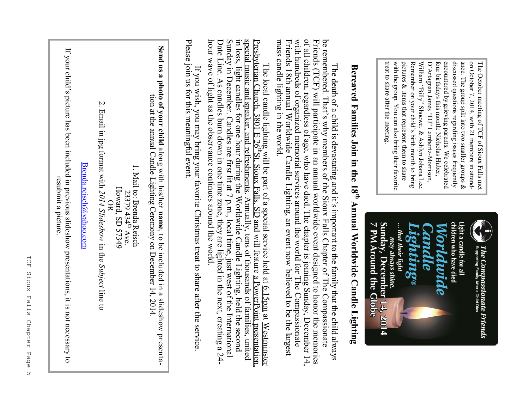treat to share after the meeting. with the group. You can also bring their favorite pictures & items that represent them to share Remember on your child's birth month to bring William "Billy" Shoewe, & Ashlyn Johana Lee four birthdays this month: Nicholas Huber, encountered by grieving parents. We celebrated discussed questions regarding issues frequently ance. The group split into two smaller groups & on October 7, 2014, with 21 members in attend-The October meeting of TCF of Sioux Falls met treat to share after the meeting. with the group. You can also bring their favorite pictures & items that represent them to share Remember on your child's birth month to bring William "Billy" Shoewe, & Ashlyn Johana Lee. D four birthdays this month: Nicholas Huber, encountered by grieving parents. We celebrated discussed questions regarding issues frequently ance. The group split into two smaller groups & on October 7, 2014, with 21 members in attend-The October meeting of TCF of Sioux Falls met 'Artagnan James "DJ" Lambertz-Morrison,



# **Bereaved Families Join in the 18** Bereaved Families Join in the 18<sup>th</sup> Annual Worldwide Candle Lighting **Annual Worldwide Candle Lighting**

mass candle lighting in the world. of all children, regardless of age, who have died. The chapter is joining Sunday, December 14, Friends (TCF) will participate in an annual worldwide event designed to honor the memories The death of a child is devastating and it's important to the family that the child always be remembered. That's why members of the Sioux Falls Chapter of The Compassionate mass candle lighting in the world. Friends 18th annual Worldwide Candle Lighting, an event now believed to be the largest Friends 18th annual Worldwide Candle Lighting, an event now believed to be the largest with hundreds of organized memorial services around the world for The Compassionate with hundreds of organized memorial services around the world for The Compassionate Friends (TCF) will participate in an annual worldwide event designed to honor the memories be remembered. That's why members of the Sioux Falls Chapter of The Compassionate of all children, regardless of age, who have died. The chapter is joining Sunday, December 14, The death of a child is devastating and it's important to the family that the child always

special music and speaker, and refreshments. Annually, tens of thousands of families, united hour wave of light as the observance continues around the world. Date Lille. As callules buill down in one thire zone, they are ngined in the hext, creating a 2+-<br>hour wave of light as the observance continues around the world. Date Line. As candles burn down in one time zone, they are lighted in the next, creating a  $24$ -Date Line. As candles burn down in one time zone, they are lighted in the next, creating a  $24$ Sunday in December. Candles are first lit at  $7$  p.m., local time, just west of the International in loss, light candles for one hour during the Worldwide Candle Lighting, held the second The local candle lighting will be part of a special service held at  $6:15 \text{pm}$  at Westminster Presbyterian Church, 3801 E 26<sup>th</sup>St, Sioux Falls, SD and will feature <u>a PowerPoint presentation</u>, Presbyterian Church, 3801 E 26Sunday in December. Candles are first lit at  $7$  p.m., local time, just west of the International in loss, light candles for one hour during the Worldwide Candle Lighting, held the second special music and speaker, The local candle lighting will be part of a special service held at 6:15pm and refreshments. Annually, tens of thousands of families, united St, Sioux Falls, SD and will feature a PowerPoint presentation, at Westminster

Please join us for this meaningful event. Please join us for this meaningful event. If you wish, you may bring your favorite Christmas treat to share after the service If you wish, you may bring your favorite Christmas treat to share after the service.

**Send us a photo of your child** along with his/her **Send us a photo of your child along with his/her name**, to be included in a slideshow presenta-, to be included in a slideshow presentation at the annual Candletion at the annual Candle-Lighting Ceremony on December 14, 2014 Lighting Ceremony on December 14, 2014.

1. Mail to: Brenda Reisch 23379 434s Ave. Howard, SD 57349 Howard, SD 57349<br>OR

Ż. 2. Email in jpg format with *2014 Slideshow* in the *Subject* line to

 $\underline{\mathrm{Brenda}.\mathrm{reisch}(\overline{a}\mathrm{yahoo}.\mathrm{com}}$ [Brenda.reisch@yahoo.com](mailto:Brenda.reisch@yahoo.com)

If your child's picture has been included in previous slideshow presentations, it is not necessary to If your child's picture has been included in previous slideshow presentations, it is not necessary to resubmit a picture. resubmit a picture.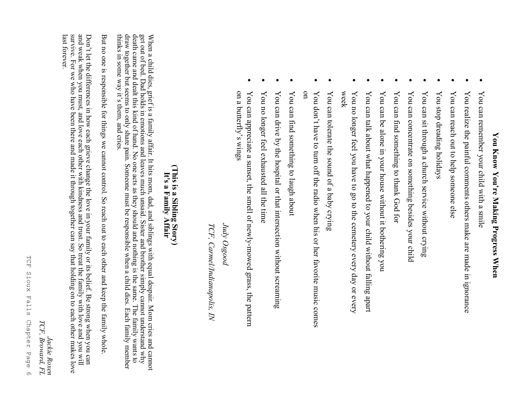### **You Know You**You Know You're Making Progress When **re Making Progress When**

- $\bullet$ You can remember your child with a smile You can remember your child with a smile
- $\bullet$ You realize the painful comments others make are made in ignorance You realize the painful comments others make are made in ignorance
- $\bullet$ You can reach out to help someone else You can reach out to help someone else
- $\bullet$ You stop dreading holidays You stop dreading holidays
- $\bullet$ You can sit through a church service without crying You can sit through a church service without crying
- $\bullet$ You can concentrate on something besides your child You can concentrate on something besides your child
- $\bullet$ You can find something to thank God for You can find something to thank God for
- $\bullet$ You can be alone in your house without it bothering you You can be alone in your house without it bothering you
- $\bullet$ You can talk about what happened to your child without falling apart You can talk about what happened to your child without falling apart
- $\bullet$ week You no longer feel you have to go to the cemetery every day or every You no longer feel you have to go to the cemetery every day or every
- $\bullet$ You can tolerate the sound of a baby crying You can tolerate the sound of a baby crying
- $\bullet$ on You don't have to turn off the radio when his or her favorite music comes You don't have to turn off the radio when his or her favorite music comes
- $\bullet$ You can find something to laugh about You can find something to laugh about
- $\bullet$ You can drive by the hospital or that intersection without screaming You can drive by the hospital or that intersection without screaming
- $\bullet$ You no longer feel exhausted all the time You no longer feel exhausted all the time
- $\bullet$ on a butterfly's wings on a butterfly's wings You can appreciate a sunset, the smell of newly-mowed grass, the pattern You can appreciate a sunset, the smell of newlymowed grass, the pattern

Judy Osgood *Judy Osgood*

TCF, Carmel/Indianapolis, IN *TCF, Carmel/Indianapolis, IN*

#### (This is a Sibling Story) **(This is a Sibling Story)** It's a Family Affair **It's a Family Affair**

thinks in some way it's them, and cries thinks in some way it death came and dealt this kind of hand. No one acts as they should and nothing is the same. The family wants to<br>draw together but seems to only share pain. Someone must be responsible when a child dies. Each family member When a child dies, grief is a family affair. It hits mom, dad, and siblings with equal despair. Mom cries and cannot<br>get out of bed. Dad holds in emotions and leaves much unsaid. Sister and brother simply cannot understand When a child dies, grief is a family affair. It hits mom, dad, and siblings with equal despair. Mom cries and cannot draw together but seems to only share pain. Someone must be responsible when a child dies. Each family member death came and dealt this kind of hand. No one acts as they should and nothing is the same. The family wants to get out of bed. Dad holds in emotions and leaves much unsaid. Sister and brother simply cannot understand why 's them, and cries.

But no one is responsible for things we cannot control. So reach out to each other and keep the family whole But no one is responsible for things we cannot control. So reach out to each other and keep the family whole.

survive. For we who have been there and made it through together can say that holding on to each other makes love Don't let the differences in how each grieve change the love in your family or its belief. Be strong when you can and weak when you must, and love each other with kindness and trust. So treat the family with love and you w last forever. last forever. survive. For we who have been there and made it through together can say that holding on to each other makes love and weak when you must, and love each other with kindness and trust. So treat the family with love and you will 't let the differences in how each grieve change the love in your family or its belief. Be strong when you can

TCF, Broward, FL *TCF, Broward, FL* Jackie Roxen

*Jackie Roxen*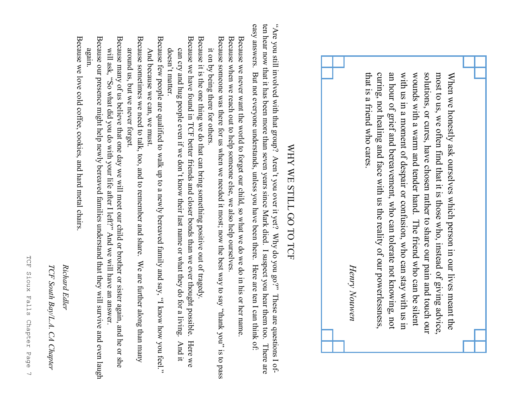that is a friend who cares. curing, not healing and face with us the reality of our powerlessness, an hour of grief and bereavement, who can tolerate not knowing, not with us in a moment of despair or confusion, who can stay with us in wounds with a warm and tender hand. The friend who can be silent solutions, or cures, have chosen rather to share our pain and touch our most to us, we often find that it is those who, instead of giving advice, that is a friend who cares. curing, not healing and face with us the reality of our powerlessness, an hour of grief and bereavement, who can tolerate not knowing, not with us in a moment of despair or confusion, who can stay with us in wounds with a warm and tender hand. The friend who can be silent solutions, or cures, have chosen rather to share our pain and touch our most to us, we often find that it is those who, instead of giving advice, When we honestly ask ourselves which person in our lives meant the When we honestly ask ourselves which person in our lives meant the

Henry Nouwen *Henry Nouwen*

### WHY WE STILL GO TO TCF MHY WE STILL GO TO TCF

"Are you still involved with that group? Aren't you over it yet? Why do you go?" These are questions I ofeasy answers. But not everyone understands, unless you have been there. Here are ten I can think of: ten hear now that it has been more than seven years since Mark died. I suspect you hear them too. There are ten hear now that it has been more than seven years since Mark died. I suspect you hear them too. There are tens wers. But not everyone understands, unless you have been there. Here are ten I can think of: "Are you still involved with that group? Aren't you over it yet? Why do you go?" These are questions I of-

Because we never want the world to forget our child, so what we do we do in his or her name Because we never want the world to forget our child, so what we do we do in his or her name.

Because when we reach out to help someone else, we also help ourselves. Because when we reach out to help someone else, we also help ourselves.

Because someone was there for us when we needed it most; now the best way to say "thank you" is to pass Because someone was there for us when we needed it most; now the best way to say it on by being there for others. it on by being there for others. sed of si " to you help"

Because it is the one thing we do that can bring something positive out of tragedy. Because it is the one thing we do that can bring something positive out of tragedy.

Because we have found in TCF better friends and closer bonds than we ever thought possible. Because we have found in TCF better friends and closer bonds than we ever thought possible. Here we doesn't matter. can cry and hug people even if we don't know their last name or what they do for a living. And it doesn't matter. can cry and hug people even if we don't know their last name or what they do for a living. And it Here we

Because few people are qualified to walk up to a newly bereaved family and say, "I know how you feel." Because few people are qualified to walk up to a newly bereaved family and say, "I know how you feel." And because we can, we must. And because we can, we must.

Because sometimes we need to talk, too, and to remember and share. We are further along than many Because sometimes we need to talk, too, and to remember and share. We are further along than many around us, but we never forget. around us, but we never forget.

Because many of us believe that one day we will meet our child or brother or sister again, and he or she Because many of us believe that one day we will meet our child or brother or sister again, and he or she

Because our presence might help newly bereaved families understand that they will survive and even laugh Because our presence might help newly bereaved families understand that they will survive and even laugh again. will ask, "So what did you do with your life after I left?" And we will have an answer will ask, "So what did you do with your life after I left?" And we will have an answer.

Because we love cold coffee, cookies, and hard metal chairs Because we love cold coffee, cookies, and hard metal chairs.

Richard Edler *Richard Edler* 

 $TCF$  South Bay/L.A. CA Chapter *TCF South Bay/L.A. CA Chapter*